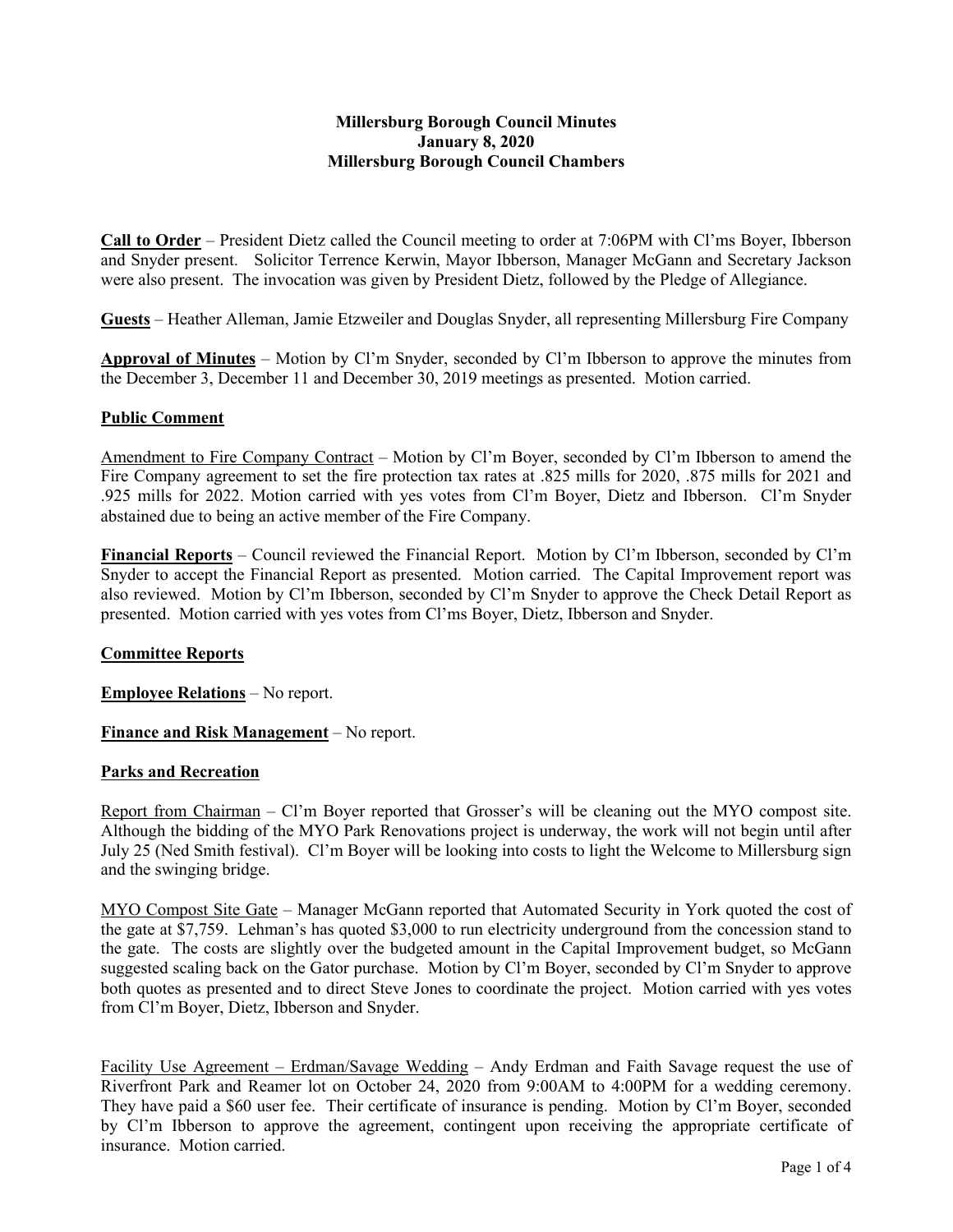## **Millersburg Borough Council Minutes January 8, 2020 Millersburg Borough Council Chambers**

**Call to Order** – President Dietz called the Council meeting to order at 7:06PM with Cl'ms Boyer, Ibberson and Snyder present. Solicitor Terrence Kerwin, Mayor Ibberson, Manager McGann and Secretary Jackson were also present. The invocation was given by President Dietz, followed by the Pledge of Allegiance.

**Guests** – Heather Alleman, Jamie Etzweiler and Douglas Snyder, all representing Millersburg Fire Company

**Approval of Minutes** – Motion by Cl'm Snyder, seconded by Cl'm Ibberson to approve the minutes from the December 3, December 11 and December 30, 2019 meetings as presented. Motion carried.

### **Public Comment**

Amendment to Fire Company Contract – Motion by Cl'm Boyer, seconded by Cl'm Ibberson to amend the Fire Company agreement to set the fire protection tax rates at .825 mills for 2020, .875 mills for 2021 and .925 mills for 2022. Motion carried with yes votes from Cl'm Boyer, Dietz and Ibberson. Cl'm Snyder abstained due to being an active member of the Fire Company.

**Financial Reports** – Council reviewed the Financial Report. Motion by Cl'm Ibberson, seconded by Cl'm Snyder to accept the Financial Report as presented. Motion carried. The Capital Improvement report was also reviewed. Motion by Cl'm Ibberson, seconded by Cl'm Snyder to approve the Check Detail Report as presented. Motion carried with yes votes from Cl'ms Boyer, Dietz, Ibberson and Snyder.

## **Committee Reports**

**Employee Relations** – No report.

**Finance and Risk Management** – No report.

#### **Parks and Recreation**

Report from Chairman – Cl'm Boyer reported that Grosser's will be cleaning out the MYO compost site. Although the bidding of the MYO Park Renovations project is underway, the work will not begin until after July 25 (Ned Smith festival). Cl'm Boyer will be looking into costs to light the Welcome to Millersburg sign and the swinging bridge.

MYO Compost Site Gate - Manager McGann reported that Automated Security in York quoted the cost of the gate at \$7,759. Lehman's has quoted \$3,000 to run electricity underground from the concession stand to the gate. The costs are slightly over the budgeted amount in the Capital Improvement budget, so McGann suggested scaling back on the Gator purchase. Motion by Cl'm Boyer, seconded by Cl'm Snyder to approve both quotes as presented and to direct Steve Jones to coordinate the project. Motion carried with yes votes from Cl'm Boyer, Dietz, Ibberson and Snyder.

Facility Use Agreement – Erdman/Savage Wedding – Andy Erdman and Faith Savage request the use of Riverfront Park and Reamer lot on October 24, 2020 from 9:00AM to 4:00PM for a wedding ceremony. They have paid a \$60 user fee. Their certificate of insurance is pending. Motion by Cl'm Boyer, seconded by Cl'm Ibberson to approve the agreement, contingent upon receiving the appropriate certificate of insurance. Motion carried.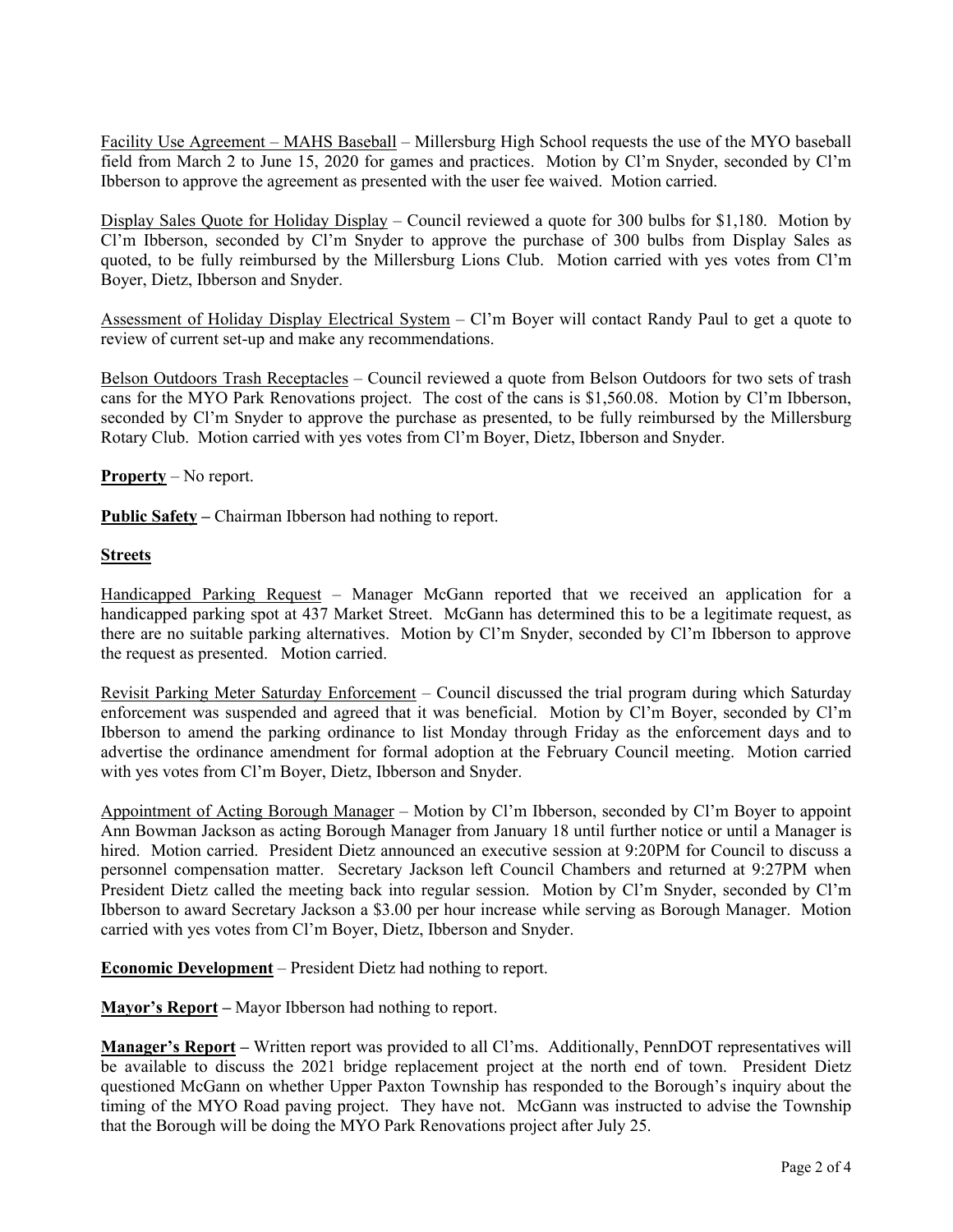Facility Use Agreement – MAHS Baseball – Millersburg High School requests the use of the MYO baseball field from March 2 to June 15, 2020 for games and practices. Motion by Cl'm Snyder, seconded by Cl'm Ibberson to approve the agreement as presented with the user fee waived. Motion carried.

Display Sales Quote for Holiday Display – Council reviewed a quote for 300 bulbs for \$1,180. Motion by Cl'm Ibberson, seconded by Cl'm Snyder to approve the purchase of 300 bulbs from Display Sales as quoted, to be fully reimbursed by the Millersburg Lions Club. Motion carried with yes votes from Cl'm Boyer, Dietz, Ibberson and Snyder.

Assessment of Holiday Display Electrical System – Cl'm Boyer will contact Randy Paul to get a quote to review of current set-up and make any recommendations.

Belson Outdoors Trash Receptacles – Council reviewed a quote from Belson Outdoors for two sets of trash cans for the MYO Park Renovations project. The cost of the cans is \$1,560.08. Motion by Cl'm Ibberson, seconded by Cl'm Snyder to approve the purchase as presented, to be fully reimbursed by the Millersburg Rotary Club. Motion carried with yes votes from Cl'm Boyer, Dietz, Ibberson and Snyder.

**Property** – No report.

**Public Safety –** Chairman Ibberson had nothing to report.

### **Streets**

Handicapped Parking Request – Manager McGann reported that we received an application for a handicapped parking spot at 437 Market Street. McGann has determined this to be a legitimate request, as there are no suitable parking alternatives. Motion by Cl'm Snyder, seconded by Cl'm Ibberson to approve the request as presented. Motion carried.

Revisit Parking Meter Saturday Enforcement – Council discussed the trial program during which Saturday enforcement was suspended and agreed that it was beneficial. Motion by Cl'm Boyer, seconded by Cl'm Ibberson to amend the parking ordinance to list Monday through Friday as the enforcement days and to advertise the ordinance amendment for formal adoption at the February Council meeting. Motion carried with yes votes from Cl'm Boyer, Dietz, Ibberson and Snyder.

Appointment of Acting Borough Manager – Motion by Cl'm Ibberson, seconded by Cl'm Boyer to appoint Ann Bowman Jackson as acting Borough Manager from January 18 until further notice or until a Manager is hired. Motion carried. President Dietz announced an executive session at 9:20PM for Council to discuss a personnel compensation matter. Secretary Jackson left Council Chambers and returned at 9:27PM when President Dietz called the meeting back into regular session. Motion by Cl'm Snyder, seconded by Cl'm Ibberson to award Secretary Jackson a \$3.00 per hour increase while serving as Borough Manager. Motion carried with yes votes from Cl'm Boyer, Dietz, Ibberson and Snyder.

**Economic Development** – President Dietz had nothing to report.

**Mayor's Report –** Mayor Ibberson had nothing to report.

**Manager's Report –** Written report was provided to all Cl'ms. Additionally, PennDOT representatives will be available to discuss the 2021 bridge replacement project at the north end of town. President Dietz questioned McGann on whether Upper Paxton Township has responded to the Borough's inquiry about the timing of the MYO Road paving project. They have not. McGann was instructed to advise the Township that the Borough will be doing the MYO Park Renovations project after July 25.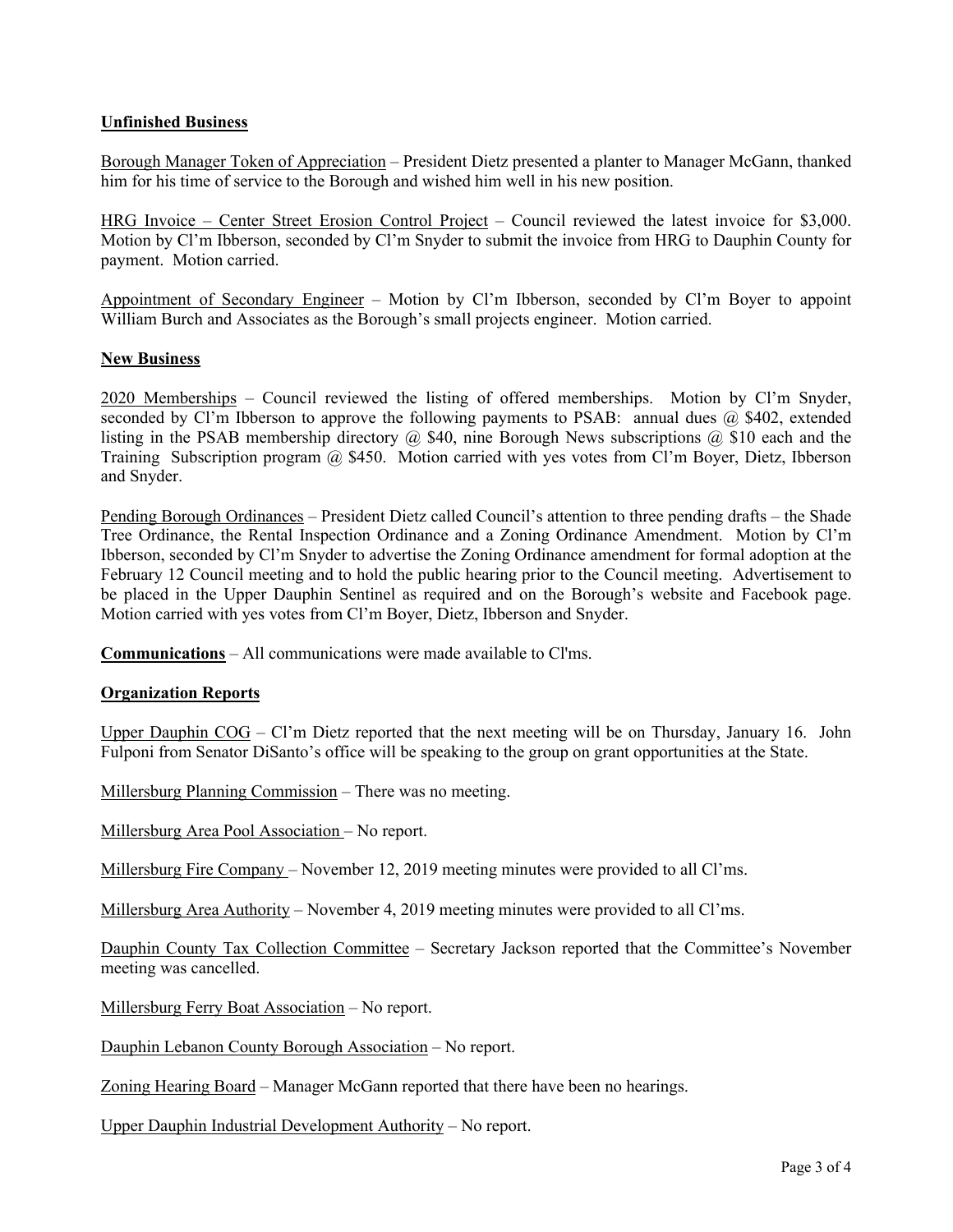# **Unfinished Business**

Borough Manager Token of Appreciation – President Dietz presented a planter to Manager McGann, thanked him for his time of service to the Borough and wished him well in his new position.

HRG Invoice – Center Street Erosion Control Project – Council reviewed the latest invoice for \$3,000. Motion by Cl'm Ibberson, seconded by Cl'm Snyder to submit the invoice from HRG to Dauphin County for payment. Motion carried.

Appointment of Secondary Engineer – Motion by Cl'm Ibberson, seconded by Cl'm Boyer to appoint William Burch and Associates as the Borough's small projects engineer. Motion carried.

### **New Business**

2020 Memberships – Council reviewed the listing of offered memberships. Motion by Cl'm Snyder, seconded by Cl'm Ibberson to approve the following payments to PSAB: annual dues  $\omega$  \$402, extended listing in the PSAB membership directory  $(a)$  \$40, nine Borough News subscriptions  $(a)$  \$10 each and the Training Subscription program @ \$450. Motion carried with yes votes from Cl'm Boyer, Dietz, Ibberson and Snyder.

Pending Borough Ordinances – President Dietz called Council's attention to three pending drafts – the Shade Tree Ordinance, the Rental Inspection Ordinance and a Zoning Ordinance Amendment. Motion by Cl'm Ibberson, seconded by Cl'm Snyder to advertise the Zoning Ordinance amendment for formal adoption at the February 12 Council meeting and to hold the public hearing prior to the Council meeting. Advertisement to be placed in the Upper Dauphin Sentinel as required and on the Borough's website and Facebook page. Motion carried with yes votes from Cl'm Boyer, Dietz, Ibberson and Snyder.

**Communications** – All communications were made available to Cl'ms.

## **Organization Reports**

Upper Dauphin COG – Cl'm Dietz reported that the next meeting will be on Thursday, January 16. John Fulponi from Senator DiSanto's office will be speaking to the group on grant opportunities at the State.

Millersburg Planning Commission – There was no meeting.

Millersburg Area Pool Association – No report.

Millersburg Fire Company – November 12, 2019 meeting minutes were provided to all Cl'ms.

Millersburg Area Authority – November 4, 2019 meeting minutes were provided to all Cl'ms.

Dauphin County Tax Collection Committee – Secretary Jackson reported that the Committee's November meeting was cancelled.

Millersburg Ferry Boat Association – No report.

Dauphin Lebanon County Borough Association – No report.

Zoning Hearing Board – Manager McGann reported that there have been no hearings.

Upper Dauphin Industrial Development Authority – No report.